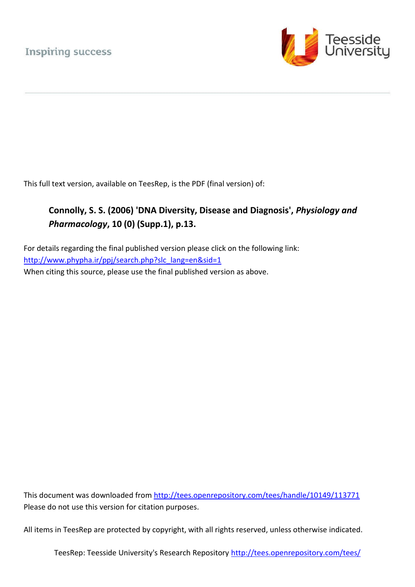

This full text version, available on TeesRep, is the PDF (final version) of:

## **Connolly, S. S. (2006) 'DNA Diversity, Disease and Diagnosis',** *Physiology and Pharmacology***, 10 (0) (Supp.1), p.13.**

For details regarding the final published version please click on the following link: [http://www.phypha.ir/ppj/search.php?slc\\_lang=en&sid=1](http://www.phypha.ir/ppj/search.php?slc_lang=en&sid=1) When citing this source, please use the final published version as above.

This document was downloaded from<http://tees.openrepository.com/tees/handle/10149/113771> Please do not use this version for citation purposes.

All items in TeesRep are protected by copyright, with all rights reserved, unless otherwise indicated.

TeesRep: Teesside University's Research Repository http://tees.openrepository.com/tees/